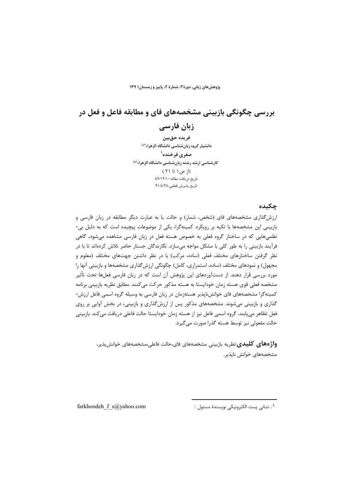پژوهشهای زبانی، دورهٔ ۳، شمارهٔ ۲، پاییز و زمستان۱ ۱۳۹

# بررسی چگونگی بازبینی مشخصههای فای و مطابقه فاعل و فعل در زبان فارسی

فريده حقبين دانشیار گروه زبانشناسی دانشگاه الزهراء<sup>(س)</sup> صغرى فرخنده<sup>ا</sup> کارشناسی ارشد رشته زبانشناسی دانشگاه الزهراء<sup>(س)</sup> (از ص۱ تا ۲۱) تاریخ دریافت مقاله: ۸۹/۱۲/۱۰ تاريخ پذيرش قطعي:٩١/٨/٢٨

#### حكىدە

ارزش گذاری مشخصههای فای (شخص، شمار) و حالت یا به عبارت دیگر مطابقه در زبان فارسی و بازبینی این مشخصهها با تکیه بر رویکرد کمینهگرا، یکی از موضوعات پیچیده است که به دلیل بی-نظمی هایی که در ساختار گروه فعلی به خصوص هسته فعل در زبان فارسی مشاهده می شود، گاهی فرآیند بازبینی را به طور کلی با مشکل مواجه می سازد. نگارندگان جستار حاضر تلاش کردهاند تا با در نظر گرفتن ساختارهای مختلف فعلی (ساده، مرکب) با در نظر داشتن جهتهای مختلف (معلوم و مجهول) و نمودهای مختلف (ساده، استمراری، کامل) چگونگی ارزش گذاری مشخصهها و بازبینی آنها را مورد بررسی قرار دهند. از دستآوردهای این پژوهش آن است که در زبان فارسی فعلها تحت تأثیر مشخصه فعلی قوی هسته زمان خودایستا به هسته مذکور حرکت میکنند. مطابق نظریه بازبینی برنامه کمینه گرا مشخصههای فای خوانش ناپذیر هستهزمان در زبان فارسی به وسیله گروه اسمی فاعل ارزش-گذاری و بازبینی میشوند. مشخصههای مذکور پس از ارزشگذاری و بازبینی، در بخش آوایی بر روی فعل تظاهر می بابند. گروه اسمی فاعل نیز از هسته زمان خودایستا حالت فاعلی دریافت می کند. بازبینی حالت مفعولی نیز توسط هسته گذرا صورت می گیرد.

> **واژههای کلیدی**:نظریه بازبینی مشخصههای فای،حالت فاعلی،مشخصههای خوانش پذیر، مشخصههای خوانش ناپذیر.

> > ١. نشاني پست الكترونيكي نويسندهٔ مسئول :

farkhondeh f s@yahoo.com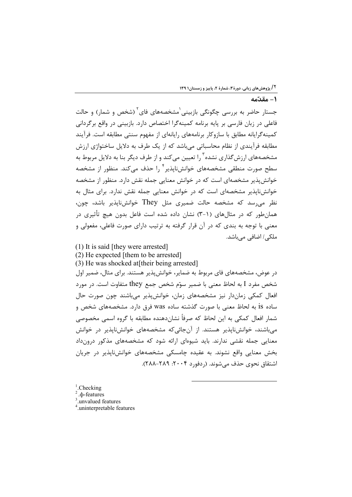### .<br>**C** - مقدّة

جستار حاضر به بررسی چگونگی بازبینی<sup>٬</sup>مشخصههای فای<sup>۲</sup> (شخص و شمار) و حالت فاعلی در زبان فارسی بر پایه برنامه کمینهگرا اختصاص دارد. بازبینی در واقع برگردانی كمينه گرايانه مطابق با سازوكار برنامههاي رايانهاي از مفهوم سنتي مطابقه است. فرآيند مطابقه فرآیندی از نظام محاسباتی می باشد که از یک طرف به دلایل ساختواژی ارزش مشخصههای ارزش گذاری نشده<sup>۳</sup> را تعیین میکند و از طرف دیگر بنا به دلایل مربوط به سطح صورت منطقی مشخصههای خوانشiاپذیر<sup>۴</sup> را حذف میکند. منظور از مشخصه خوانش پذیر مشخصهای است که در خوانش معنایی جمله نقش دارد. منظور از مشخصه خوانش نایذیر مشخصهای است که در خوانش معنایی جمله نقش ندارد. برای مثال به نظر می رسد که مشخصه حالت ضمیری مثل They خوانشiایذیر باشد، چون، همان طور که در مثال های (۱–۳) نشان داده شده است فاعل بدون هیچ تأثیری در معنی با توجه به بندی که در آن قرار گرفته به ترتیب دارای صورت فاعلی، مفعولی و ملکی/ اضافی میباشد.

(1) It is said [they were arrested]

(2) He expected [them to be arrested]

(3) He was shocked at[their being arrested]

در عوض، مشخصههای فای مربوط به ضمایر، خوانشپذیر هستند. برای مثال، ضمیر اول شخص مفرد I به لحاظ معنى با ضمير سوّم شخص جمع they متفاوت است. در مورد افعال کمکی زماندار نیز مشخصههای زمان، خوانش پذیر می باشند چون صورت حال ساده is به لحاظ معنى با صورت گذشته ساده was فرق دارد. مشخصههاى شخص و شمار افعال کمکی به این لحاظ که صرفاً نشاندهنده مطابقه با گروه اسمی مخصوصی می باشند، خوانش نایذیر هستند. از آن جائی که مشخصههای خوانش نایذیر در خوانش معنایی جمله نقشی ندارند. باید شیوهای ارائه شود که مشخصههای مذکور درونداد بخش معنایی واقع نشوند. به عقیده چامسکی مشخصههای خوانشiایذیر در جریان اشتقاق نحوي حذف مي شوند. (ردفورد ٢٠٠۴: ٢٨٨-٢٨٨).

 $<sup>1</sup>$ . Checking</sup>

.<sub>th</sub>-features

 $\frac{3}{1}$  unvalued features

4 .uninterpretable features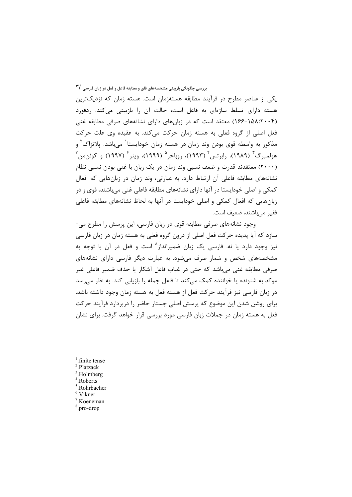.<br>یکی از عناصر مطرح در فرآیند مطابقه هستهزمان است. هسته زمان که نزدیکترین هسته دارای تسلط سازمای به فاعل است، حالت آن را بازبینی میکند. ردفورد (۱۵۸:۲۰۰۴) معتقد است که در زبانهای دارای نشانههای صرفی مطابقه غنی فعل اصلی از گروه فعلی به هسته زمان حرکت میکند. به عقیده وی علت حرکت مذکور به واسطه قوی بودن وند زمان در هسته زمان خودایستا<sup>\</sup> میباشد. پلاتزاک<sup>۲</sup> و هولمبرگ<sup>۳</sup> (۱۹۸۹)، رابرتس<sup>۴</sup> (۱۹۹۳)، روباخر<sup>۵</sup> (۱۹۹۹)، وینر<sup>۶</sup> (۱۹۹۷) و کوئن،من<sup>۷</sup> (۲۰۰۰) معتقدند قدرت و ضعف نسبی وند زمان در یک زبان با غنی بودن نسبی نظام نشانههای مطابقه فاعلی آن ارتباط دارد. به عبارتی، وند زمان در زبانهایی که افعال کمکی و اصلی خودایستا در آنها دارای نشانههای مطابقه فاعلی غنی می باشند، قوی و در زبانهایی که افعال کمکی و اصلی خودایستا در آنها به لحاظ نشانههای مطابقه فاعلی فقیر مے باشند، ضعیف است.

وجود نشانههای صرفی مطابقه قوی در زبان فارسی، این پرسش را مطرح می-سازد که آیا پدیده حرکت فعل اصلی از درون گروه فعلی به هسته زمان در زبان فارسی نيز وجود دارد يا نه. فارسي يک زبان ضميرانداز<sup>^</sup> است و فعل در آن با توجه به مشخصههای شخص و شمار صرف می شود. به عبارت دیگر فارسی دارای نشانههای صرفي مطابقه غني مي باشد كه حتى در غياب فاعل آشكار يا حذف ضمير فاعلى غير موکد به شنونده یا خواننده کمک می کند تا فاعل جمله را بازیابی کند. به نظر می رسد در زبان فارسی نیز فرآیند حرکت فعل از هسته فعل به هسته زمان وجود داشته باشد. برای روشن شدن این موضوع که پرسش اصلی جستار حاضر را دربردارد فرآیند حرکت فعل به هسته زمان در جملات زبان فارسی مورد بررسی قرار خواهد گرفت. برای نشان

 $<sup>1</sup>$ . finite tense</sup> <sup>2</sup>.Platzack Holmberg. Roberts. Rohrbacher Vikner  $\frac{1}{2}$  Koeneman <sup>8</sup>.pro-drop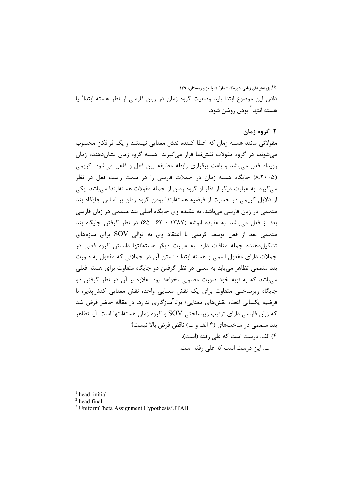۔<br>دادن این موضوع ابتدا باید وضعیت گروہ زمان در زبان فارسی از نظر هسته ابتدا<sup>\</sup> با هسته انتها<sup>۲</sup> بودن روشن شود.

### ۲-گروه زمان

مقولاتی مانند هسته زمان که اعطاءکننده نقش معنایی نیستند و یک فرافکن محسوب می شوند، در گروه مقولات نقش نما قرار میگیرند. هسته گروه زمان نشان دهنده زمان رویداد فعل می باشد و باعث برقراری رابطه مطابقه بین فعل و فاعل می شود. کریمی (۲۰۰۵). جایگاه هسته زمان در جملات فارسی را در سمت راست فعل در نظر می گیرد. به عبارت دیگر از نظر او گروه زمان از جمله مقولات هستهابتدا میباشد. یکی از دلایل کریمی در حمایت از فرضیه هستهابتدا بودن گروه زمان بر اساس جایگاه بند متممی در زبان فارسی میباشد. به عقیده وی جایگاه اصلی بند متممی در زبان فارسی بعد از فعل می باشد. به عقیده انوشه (۱۳۸۷ : ۶۲– ۶۵) در نظر گرفتن جایگاه بند متممی بعد از فعل توسط کریمی با اعتقاد وی به توالی SOV برای سازههای تشکیل دهنده جمله منافات دارد. به عبارت دیگر هستهانتها دانستن گروه فعلی در جملات دارای مفعول اسمی و هسته ابتدا دانستن آن در جملاتی که مفعول به صورت بند متممی تظاهر مییابد به معنی در نظر گرفتن دو جایگاه متفاوت برای هسته فعلی می باشد که به نوبه خود صورت مطلوبی نخواهد بود. علاوه بر آن در نظر گرفتن دو جایگاه زیرساختی متفاوت برای یک نقش معنایی واحد، نقش معنایی کنش پذیر، با فرضیه یکسانی اعطاء نقش های معنایی/ یوتا<sup>۳</sup>سازگاری ندارد. در مقاله حاضر فرض شد که زبان فارسی دارای ترتیب زیرساختی SOV و گروه زمان هستهانتها است. آیا تظاهر بند متممی در ساختهای (۴ الف و ب) ناقض فرض بالا نیست؟ ۴) الف. درست است که علی رفته (است). ب. این درست است که علی رفته است.

 $<sup>1</sup>$  head initial</sup>

 $2$ head final

<sup>3</sup>. UniformTheta Assignment Hypothesis/UTAH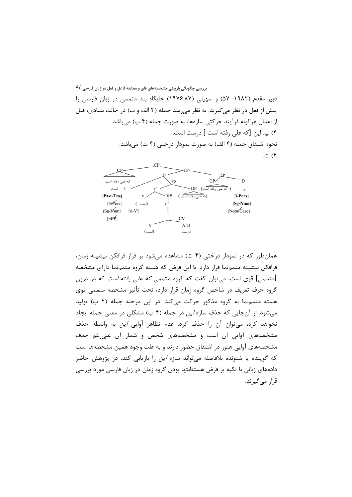$\circ$ بررسی چگونگی بازبینی مشخصههای فای و مطابقه فاعل و فعل در زبان فارسی  $\backslash$ 

دبیر مقدم (۱۹۸۲: ۵۷) و سهیلی (۱۹۷۶:۸۷) جایگاه بند متممی در زبان فارسی را پیش از فعل در نظر می گیرند. به نظر می رسد جمله (۴ الف و ب) در حالت بنیادی، قبل از اعمال هر گونه فرآیند حرکتی سازمها، به صورت جمله (۴ پ) می باشد. ۴) پ. این [که علی رفته است ] درست است. نحوه اشتقاق جمله (۴ الف) به صورت نمودار درختی (۴ ت) میباشد. ۴) ت.



همان طور که در نمودار درختی (۴ ت) مشاهده می شود بر فراز فرافکن بیشینه زمان، فرافکن بیشینه متممنما قرار دارد. با این فرض که هسته گروه متممنما دارای مشخصه [متممی] قوی است، می¤وان گفت که گروه متممی *که علی رفته است* که در درون گروه حرف تعریف در شاخص گروه زمان قرار دارد، تحت تأثیر مشخصه متممی قوی هسته متممنما به گروه مذکور حرکت میکند. در این مرحله جمله (۴ ب) تولید می شود. از آنجایی که حذف سازه *این* در جمله (۴ ب) مشکلی در معنی جمله ایجاد نخواهد کرد، می توان آن را حذف کرد. عدم تظاهر آوایی *این* به واسطه حذف مشخصههای آوایی آن است و مشخصههای شخص و شمار آن علی غم حذف مشخصههای آوایی هنوز در اشتقاق حضور دارند و به علت وجود همین مشخصهها است که گوینده یا شنونده بلافاصله می تواند سازه *این* را بازیابی کند. در پژوهش حاضر دادههای زبانی با تکیه بر فرض هستهانتها بودن گروه زمان در زبان فارسی مورد بررسی قرار مے گیرند.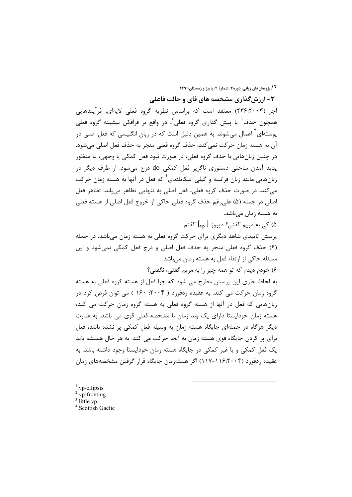**1/ پژوهشهای زبانی، دورهٔ ۳، شمارهٔ ۲، پاییز و زمستان۱۳۹** 

۳- ارزش گذاری مشخصه های فای و حالت فاعلی اجر (۲۴۶:۲۰۰۳) معتقد است که براساس نظریه گروه فعلی لایهای، فرآیندهایی همچون حذف<sup>٬</sup> یا پیش گذاری گروه فعلی<sup>٬</sup>، در واقع بر فرافکن بیشینه گروه فعلی یوستهای<sup>۳</sup> اعمال می شوند. به همین دلیل است که در زبان انگلیسی که فعل اصلی در آن به هسته زمان حركت نمي كند، حذف گروه فعلي منجر به حذف فعل اصلي ميشود. در چنين زبانهايي با حذف گروه فعلي، در صورت نبود فعل كمكي يا وجهي، به منظور یدید آمدن ساختی دستوری ناگزیر فعل کمکی do درج میشود. از طرف دیگر در زبانهایی مانند زبان فرانسه و گیلی اسکاتلندی<sup>۴</sup> که فعل در آنها به هسته زمان حرکت مي كند، در صورت حذف گروه فعلي، فعل اصلي به تنهايي تظاهر مي يابد. تظاهر فعل اصلي در جمله (۵) علي رغم حذف گروه فعلي حاكي از خروج فعل اصلي از هسته فعلي به هسته زمان مے باشد.

۵) کی به مریم گفتی؟ دیروز [ vp] گفتم.

پرسش تاییدی شاهد دیگری برای حرکت گروه فعلی به هسته زمان می باشد. در جمله (۶) حذف گروه فعلی منجر به حذف فعل اصلی و درج فعل کمکی نمیشود و این مسئله حاکی از ارتقاء فعل به هسته زمان میباشد.

۶) خودم ديدم كه تو همه چيز را به مريم گفتي، نگفتي؟

به لحاظ نظری این پرسش مطرح می شود که چرا فعل از هسته گروه فعلی به هسته گروه زمان حرکت می کند. به عقیده ردفورد ( ۲۰۰۴: ۱۶۰ ) می توان فرض کرد در زبانهایی که فعل در آنها از هسته گروه فعلی به هسته گروه زمان حرکت می کند، هسته زمان خودایستا دارای یک وند زمان با مشخصه فعلی قوی می باشد. به عبارت دیگر هرگاه در جملهای جایگاه هسته زمان به وسیله فعل کمکی پر نشده باشد، فعل برای پر کردن جایگاه قوی هسته زمان به آنجا حرکت می کند. به هر حال همیشه باید یک فعل کمکی و یا غیر کمکی در جایگاه هسته زمان خودایستا وجود داشته باشد. به عقیده ردفورد (۲۰۰۴-۱۱۶) اگر هستهزمان جایگاه قرار گرفتن مشخصههای زمان

- <sup>1</sup>.vp-ellipsis<sup>2</sup>.vp-fronting  $3$  little vp
- <sup>4</sup>.Scottish Gaelic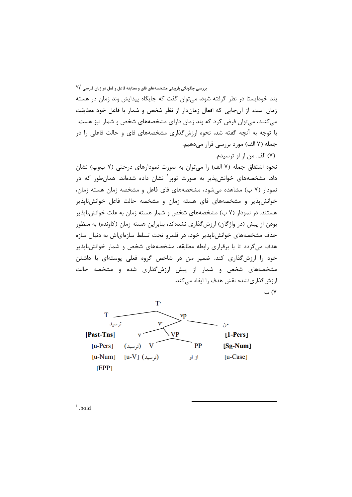زمان است. از آنجایی که افعال زماندار از نظر شخص و شمار با فاعل خود مطابقت میکنند، میتوان فرض کرد که وند زمان دارای مشخصههای شخص و شمار نیز هست. با توجه به آنچه گفته شد، نحوه ارزشگذاری مشخصههای فای و حالت فاعلی را در جمله (۷ الف) مورد بررسی قرار میدهیم. (٧) الف. من از او ترسيدم. نحوه اشتقاق جمله (۷ الف) را میتوان به صورت نمودارهای درختی (۷ بوپ) نشان داد. مشخصههای خوانش $\mu$ نیر به صورت توپر یشان داده شدهاند. همانطور که در نمودار (۷ ب) مشاهده می شود، مشخصههای فای فاعل و مشخصه زمان هسته زمان، خوانش پذیر و مشخصههای فای هسته زمان و مشخصه حالت فاعل خوانشiاپذیر هستند. در نمودار (۷ ب) مشخصههای شخص و شمار هسته زمان به علت خوانشiاپذیر بودن از پیش (در واژگان) ارزش گذاری نشدهاند، بنابراین هسته زمان (کاونده) به منظور حذف مشخصههای خوانش نایذیر خود، در قلمرو تحت تسلط سازهای ش به دنبال سازه

هدف میگردد تا با برقراری رابطه مطابقه، مشخصههای شخص و شمار خوانشiاپذیر خود را ارزش گذاری کند. ضمیر *من* در شاخص گروه فعلی پوستهای با داشتن مشخصههای شخص و شمار از پیش ارزش گذاری شده و مشخصه حالت ارزش گذاری نشده نقش هدف را ایفاء مے کند. ۷) ب

 $T'$ T. vp تر سید من **VP** [Past-Tns]  $[1-Pers]$ PP  $[u-Pers]$  $[Sg-Num]$ (ترسید) V  $[u-Num]$  $[u-V]$   $(i, \omega)$  $[u-Case]$ از او  $[EPP]$ 

 $1$  bold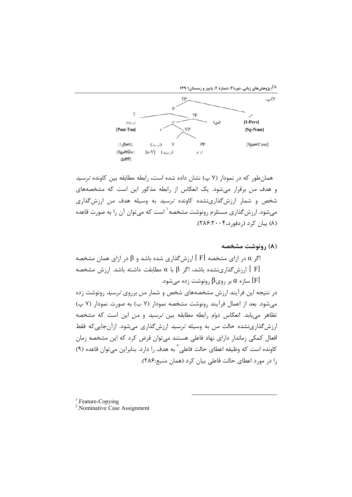



همان طور که در نمودار (۷ پ) نشان داده شده است، رابطه مطابقه بین کاونده *ترسید* و هدف من برقرار میشود. یک انعکاس از رابطه مذکور این است که مشخصههای شخص و شمار ارزشگذارینشده کاونده *ترسید* به وسیله هدف *من* ارزشگذاری می شود. ارزش گذاری مستلزم رونوشت مشخصه <sup>۱</sup> است که می توان آن را به صورت قاعده (٨) بيان كرد (ردفورد،٢٠٠۴-٢٨۶).

(٨) , ونوشت مشخصه

اگر a در ازای مشخصه  $[~\mathrm{F}]$  ارزش گذاری شده باشد و  $\beta$  در ازای همان مشخصه  $\alpha$ ارزش کذاری نشده باشد، اگر  $\beta$  با a مطابقت داشته باشد. ارزش مشخصه  $[~\mathrm{F}]$ سازه  $\alpha$  بر روی $\beta$  رونوشت زده مے شود.  $[F]$ 

در نتیجه این فرآیند ارزش مشخصههای شخص و شمار *من* برروی *ترسید* رونوشت زده می شود. بعد از اعمال فرآیند رونوشت مشخصه نمودار (۷ ب) به صورت نمودار (۷ پ) تظاهر می یابد. انعکاس دوّم رابطه مطابقه بین *ترسید* و *من* این است که مشخصه ارزش گذاری نشده حالت *من* به وسیله *ترسید* ارزش گذاری می شود. ازآن جایی که فقط افعال کمکی زماندار دارای نهاد فاعلی هستند میتوان فرض کرد که این مشخصه زمان کاونده است که وظیفه اعطای حالت فاعلی<sup>۲</sup> به هدف ۱٫ دارد. بنابراین می توان قاعده (۹) را در مورد اعطای حالت فاعلی بیان کرد (همان منبع:۲۸۶).

 $<sup>1</sup>$ . Feature-Copving</sup>

<sup>2</sup>. Nominative Case Assignment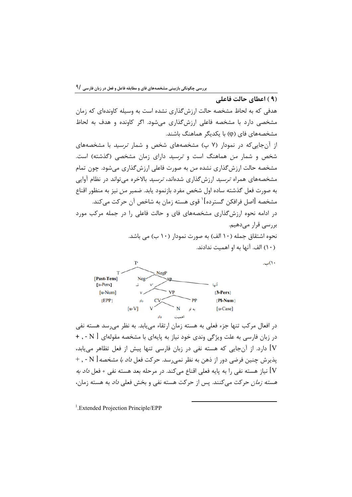.<br>(۹) اعطای حالت فاعلی

هدفی که به لحاظ مشخصه حالت ارزشگذاری نشده است به وسیله کاوندهای که زمان مشخصی دارد با مشخصه فاعلی ارزشگذاری میشود. اگر کاونده و هدف به لحاظ مشخصههای فای (φ) با یکدیگر هماهنگ باشند.

از آنجایی که در نمودار (۷ پ) مشخصههای شخص و شمار *ترسید* با مشخصههای شخص و شمار *من* هماهنگ است و *ترسید* دارای زمان مشخصی (گذشته) است. مشخصه حالت ارزش گذاری نشده *من* به صورت فاعلی ارزش گذاری می شود. چون تمام مشخصههای همراه *ترسید* ارزش *گ*ذاری شدهاند، *ترسید* بالاخره می تواند در نظام آوایی به صورت فعل گذشته ساده اول شخص مفرد بازنمود يابد. ضمير *من* نيز به منظور اقناع مشخصه [اصل فرافکن گسترده]<sup>\</sup> قوی هسته زمان به شاخص آن حرکت می *ک*ند.

در ادامه نحوه ارزش گذاری مشخصههای فای و حالت فاعلی را در جمله مرکب مورد بررسی قرار میدهیم. نحوه اشتقاق جمله (١٠ الف) به صورت نمودار (١٠ ب) مي باشد.

(١٠) الف. آنها به او اهميت ندادند.

 $\cup$ ب.



در افعال مرکب تنها جزء فعلی به هسته زمان ارتقاء می یابد. به نظر می <sub>د</sub>سد هسته نفی در زبان فارسی به علت ویژگی وندی خود نیاز به پایهای با مشخصه مقولهای  $\hbox{[ N ]}$  - , + V] دارد. از آنجایی که هسته نفی در زبان فارسی تنها پیش از فعل تظاهر می بابد، پذیرش چنین فرضی دور از ذهن به نظر نمی رسد. حرکت فعل *داد با مشخصه* [ N - , + V] نياز هسته نفي ,ا به پايه فعلي اقناع مي كند. در مرحله بعد هسته نفي + فعل *داد به هسته زمان ح*رکت مے کنند. پس از حرکت هسته نفی و بخش فعل*ی داد* به هسته زمان،

<sup>1</sup>.Extended Projection Principle/EPP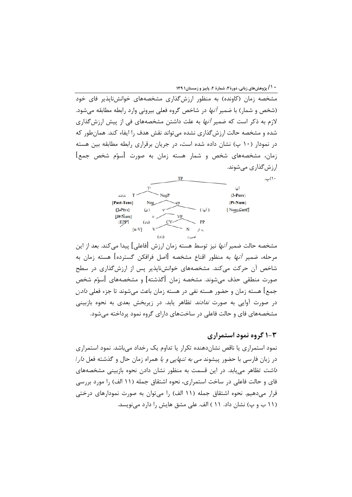**\* ۱/ پژوهشهای زبانی، دورهٔ ۳، شمارهٔ ۲، پاییز و زمستان۱۳۹** 

مشخصه زمان (کاونده) به منظور ارزش گذاری مشخصههای خوانش ناپذیر فای خود (شخص و شمار) با ضمیر *آنها* در شاخص گروه فعلی بیرونی وارد رابطه مطابقه می شود. لازم به ذکر است که ضمیر *آنها* به علت داشتن مشخصههای فی از پیش ارزشگذاری شده و مشخصه حالت ارزش گذاری نشده می تواند نقش هدف را ایفاء کند. همان طور که در نمودار (۱۰ پ) نشان داده شده است، در جریان برقراری رابطه مطابقه بین هسته زمان، مشخصههای شخص و شمار هسته زمان به صورت [سوّم شخص جمع] ارزش گذاری مے شوند.



مشخصه حالت ضمیر *آنها* نیز توسط هسته زمان ارزش [فاعلی] پیدا می *ک*ند. بعد از این مرحله، ضمیر *آنها* به منظور اقناع مشخصه [اصل فرافکن گسترده] هسته زمان به شاخص آن حرکت میکند. مشخصههای خوانشناپذیر پس از ارزشگذاری در سطح صورت منطقی حذف می شوند. مشخصه زمان [گذشته] و مشخصههای [سوّم شخص جمع] هسته زمان و حضور هسته نفي در هسته زمان باعث ميشوند تا جزء فعلي *دادن* در صورت آوایی به صورت *ندادند* تظاهر یابد. در زیربخش بعدی به نحوه بازبینی مشخصههای فای و حالت فاعلی در ساختهای دارای گروه نمود پرداخته می شود.

## ۰-۳ گروه نمود استمراری

 $\cup$  ().

نمود استمراری یا ناقص نشاندهنده تکرار یا تداوم یک رخداد میباشد. نمود استمراری در زبان فارسی با حضور پیشوند *می به تنهایی و یا* همراه زمان حال و گذشته فعل *دار ا داشت* تظاهر می یابد. در این قسمت به منظور نشان دادن نحوه بازبینی مشخصههای فای و حالت فاعلی در ساخت استمراری، نحوه اشتقاق جمله (۱۱ الف) را مورد بررسی قرار میدهیم. نحوه اشتقاق جمله (۱۱ الف) را میتوان به صورت نمودارهای درختی (١١ ب و پ) نشان داد. ١١ ) الف. علي مشق هايش را دارد مي نويسد.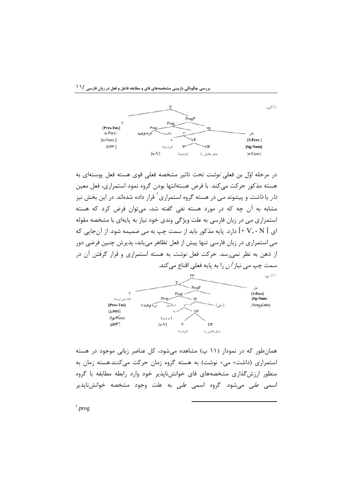

در مرحله اوّل بن فعل*ی نوشت* تحت تاثیر مشخصه فعلی قوی هسته فعل پوستهای به هسته مذکور حرکت می کند. با فرض هستهانتها بودن گروه نمود استمراری، فعل معین *دار* یا *داشت* و پیشوند *می* در هسته گروه استمراری<sup>٬</sup> قرار داده شدهاند. در این بخش نیز مشابه به آن چه که در مورد هسته نفی گفته شد، می توان فرض کرد که هسته استمراری می در زبان فارسی به علت ویژگی وندی خود نیاز به پایهای با مشخصه مقوله ای  $[+V,-N]$  دارد. پایه مذکور باید از سمت چپ به *می ض*میمه شود. از آنجایی که مے استمراری در زبان فارسی تنها پیش از فعل تظاهر می بابد، پذیرش چنین فرضی دور از ذهن به نظر نمی رسد. حرکت فعل *نوشت* به هسته استمراری و قرار گرفتن آن در سمت چپ *می* نیاز *آن* را به پایه فعلی اقناع می *ک*ند.



همان طور که در نمودار (۱۱ پ) مشاهده می شود، کل عناصر زبانی موجود در هسته استمراری (داشت+ می+ نوشت) به هسته گروه زمان حرکت میکنند.هسته زمان به منظور ارزش گذاری مشخصههای فای خوانش ناپذیر خود وارد رابطه مطابقه با گروه اسمے *علی* مے شود. گروہ اسم*ی علی* به علت وجود مشخصه خوانشiبایذیر

 $^{1}$ .prog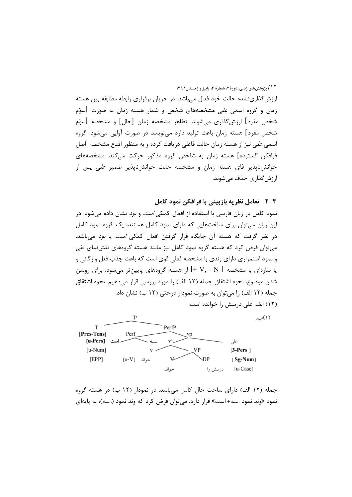۱۲ / پژوهش های زبانی، دورهٔ۳، شمارهٔ ۲، پاییز و زمستان۱۳۹

ارزش گذاری نشده حالت خود فعال می باشد. در جریان برقراری رابطه مطابقه بین هسته زمان و گروه اسمی *علی* مشخصههای شخص و شمار هسته زمان به صورت [سوّم شخص مفرد] ارزشگذاری میشوند. تظاهر مشخصه زمان [حال] و مشخصه [سوّم شخص مفرد] هسته زمان باعث تولید دارد می;نویسد در صورت آوایی می,شود. گروه اسمی *علی* نیز از هسته زمان حالت فاعلی دریافت کرده و به منظور اقناع مشخصه [اصل فرافکن گسترده] هسته زمان به شاخص گروه مذکور حرکت می کند. مشخصههای خوانشiایذیر فای هسته زمان و مشخصه حالت خوانشiایذیر ضمیر *علی* پس از ارزش گذاری حذف مے شوند.

۲-۲- تعامل نظریه بازبینی با فرافکن نمود کامل

نمود کامل در زبان فارسی با استفاده از افعال کمکی *است* و *بود* نشان داده میشود. در این زبان می توان برای ساختهایی که دارای نمود کامل هستند، یک گروه نمود کامل در نظر گرفت که هسته آن جایگاه قرار گرفتن افعال کمکی *است* یا *بود* میباشد. می توان فرض کرد که هسته گروه نمود کامل نیز مانند هسته گروههای نقش نمای نفی و نمود استمراري داراي وندي با مشخصه فعلي قوي است كه باعث جذب فعل واژگاني و یا سازهای با مشخصه  $\mid \rm{+} \; V, \text{-} \; N \mid$  از هسته گروههای پایینتر میشود. برای روشن شدن موضوع، نحوه اشتقاق جمله (١٢ الف) ,ا مورد بررسي قرار مي دهيم. نحوه اشتقاق جمله (١٢ الف) را مي توان به صورت نمودار درختي (١٢ ب) نشان داد. (١٢) الف. على درسش را خوانده است.



جمله (١٢ الف) داراي ساخت حال كامل مي باشد. در نمودار (١٢ ب) در هسته گروه نمود «وند نمود …ـــه+ است» قرار دارد. مي توان فرض كرد كه وند نمود (*…ــه*)، به پايهاي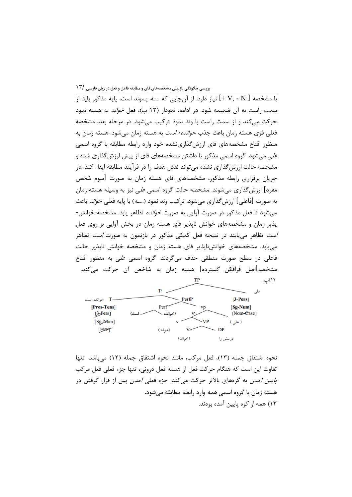با مشخصه [ V, - N +] نياز دارد. از آنجايي كه *...ـه* پسوند است، پايه مذكور بايد از سمت راست به آن ضمیمه شود. در ادامه، نمودار (۱۲ پ)، فعل *خواند* به هسته نمود حرکت میکند و از سمت راست با وند نمود ترکیب میشود. در مرحله بعد، مشخصه فعلي قوى هسته زمان باعث جذب *خوانده+ است* به هسته زمان مي شود. هسته زمان به منظور اقناع مشخصههای فای ارزشگذارینشده خود وارد رابطه مطابقه با گروه اسمی علی میشود. گروه اسمی مذکور با داشتن مشخصههای فای از پیش ارزش گذاری شده و مشخصه حالت ارزش گذاری نشده می تواند نقش هدف را در فرآیند مطابقه ایفاء کند. در جریان برقراری رابطه مذکور، مشخصههای فای هسته زمان به صورت [سوم شخص مفرد] ارزشگذاری میشوند. مشخصه حالت گروه اسمی *علی* نیز به وسیله هسته زمان به صورت [فاعلى] ارزشگذارى مىشود. تركيب وند نمود (*...ــه*) با پايه فعلى *خواند* باعث می شود تا فعل مذکور در صورت آوایی به صورت *خوانده* تظاهر یابد. مشخصه خوانش-پذیر زمان و مشخصههای خوانش ناپذیر فای هسته زمان در بخش آوایی بر روی فعل *است* تظاهر می بابند در نتیجه فعل کمکی مذکور در بازنمون به صورت *است* تظاهر می یابد. مشخصههای خوانش نایذیر فای هسته زمان و مشخصه خوانش نایذیر حالت فاعلی در سطح صورت منطقی حذف میگردند. گروه اسمی *علی* به منظور اقناع مشخصه[اصل فرافکن گسترده] هسته زمان به شاخص آن حرکت می،کند. TP ۱۲)پ.



نحوه اشتقاق جمله (١٣)، فعل مركب، مانند نحوه اشتقاق جمله (١٢) مي باشد. تنها تفاوت این است که هنگام حرکت فعل از هسته فعل درونی، تنها جزء فعلی فعل مرکب *پایین آمدن* به گرههای بالاتر حرکت میکند. جزء فعلی *آمدن* پس از قرار گرفتن در هسته زمان با گروه اسمی *همه* وارد رابطه مطابقه می شود. ۱۳) همه از کوه پایین آمده بودند.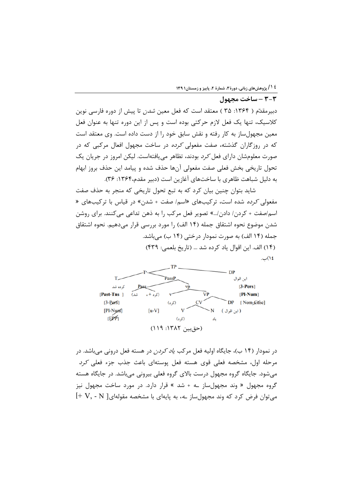٣-٣ - ساخت محمول

# دبیرمقدّم ( ۱۳۶۴: ۳۵ ) معتقد است که فعل معین *شدن* تا پیش از دوره فارسی نوین كلاسيك، تنها يك فعل لازم حركتي بوده است و پس از اين دوره تنها به عنوان فعل معین مجهول ساز به کار رفته و نقش سابق خود را از دست داده است. وی معتقد است که در روزگاران گذشته، صفت مفعولی *کرده* در ساخت مجهول افعال مرکبی که در صورت معلومشان دارای فعل *کرد* بودند، تظاهر می یافتهاست. لیکن امروز در جریان یک تحول تاريخي بخش فعلى صفت مفعولي آنها حذف شده و پيامد اين حذف بروز ابهام به دلیل شباهت ظاهری با ساختهای آغازین است (دبیر مقدم،۱۳۶۴: ۳۶).

شاید بتوان چنین بیان کرد که به تبع تحول تاریخی که منجر به حذف صفت مفعولی *کرده* شده است، ترکیبهای «اسم/ صفت + شدن» در قیاس با ترکیبهای « اسم/صفت + كردن/ دادن/...» تصوير فعل مركب را به ذهن تداعى مى كنند. براى روشن شدن موضوع نحوه اشتقاق جمله (۱۴ الف) را مورد بررسی قرار میدهیم. نحوه اشتقاق جمله (۱۴ الف) به صورت نمودار درختی (۱۴ ب) می باشد. (١۴) الف. این اقوال یاد کرده شد ... (تاریخ بلعمی: ۴۳۹) ١٤)پ.



در نمودار (۱۴ ب)، جایگاه اولیه فعل مرکب *یاد کردن* در هسته فعل درونی میباشد. در مرحله اول، مشخصه فعلى قوى هسته فعل پوستهاى باعث جذب جزء فعلى كرد میشود. جایگاه گروه مجهول درست بالای گروه فعلی بیرونی میباشد. در جایگاه هسته گروه مجهول « وند مجهولساز ـه + شد » قرار دارد. در مورد ساخت مجهول نیز  $[+V,$  - N میتوان فرض کرد که وند مجهولساز ـه، به پایهای با مشخصه مقولهای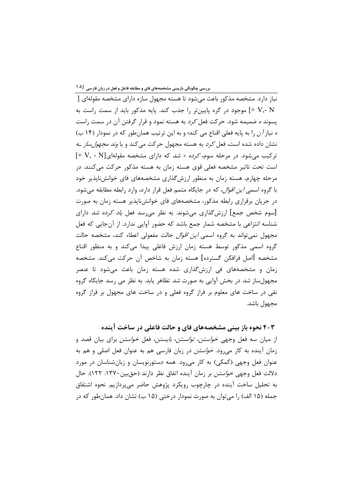نیا; دارد. مشخصه مذکور باعث می شود تا هسته مجهول سازه دارای مشخصه مقولهای [ ↓ √ √ √ √ موجود در گره پایینتر را جذب کند. پایه مذکور باید از سمت راست به √ پسوند *ه* ضمیمه شود. حرکت فعل *کرد* به هسته نمود و قرار گرفتن آن در سمت راست ه نیاز آن را به پایه فعلی اقناع می کند؛ و به این ترتیب همان طور که در نمودار (۱۴ ب) نشان داده شده است، فعل *کرد* به هسته مجهول حرکت میکند و با *وند مجهول ساز ــه*  $[+V, -N]$ ترکیب می شود. در مرحله سوم، *کرده + شد* که دارای مشخصه مقولهای است تحت تاثیر مشخصه فعلی قوی هسته زمان به هسته مذکور حرکت می کنند. در مرحله چهارم، هسته زمان به منظور ارزش گذاری مشخصههای فای خوانشiاپذیر خود با گروه اسمی *این اقوال*، که در جایگاه متمم فعل قرار دارد، وارد رابطه مطابقه میشود. در جریان برقراری رابطه مذکور، مشخصههای فای خوانشiپذیر هسته زمان به صورت [سوم شخص جمع] ارزشگذاری می شوند. به نظر می رسد فعل *یاد کرده شد* دارای شناسه انتزاعی با مشخصه شمار جمع باشد که حضور آوایی ندارد. از آنجایی که فعل مجھول نمی تواند به گروہ اسم*ی این اقوال* حالت مفعولی اعطاء کند، مشخصه حالت گروه اسمی مذکور توسط هسته زمان ارزش فاعلی پیدا میکند و به منظور اقناع مشخصه [اصل فرافکن گسترده] هسته زمان به شاخص آن حرکت میکند. مشخصه زمان و مشخصههای فی ارزش گذاری شده هسته زمان باعث می شود تا عنصر مجهولساز شد در بخش آوایی به صورت شد تظاهر یابد. به نظر می رسد جایگاه گروه نفی در ساخت های معلوم بر فراز گروه فعلی و در ساخت های مجهول بر فراز گروه مجهول باشد.

۴-۳ نحوه باز بینی مشخصههای فای و حالت فاعلی در ساخت آینده از میان سه فعل وجهی *خواستن، توانستن، بایستن*، فعل *خواستن* برای بیان قصد و زمان آینده به کار میرود. *خواستن* در زبان فارسی هم به عنوان فعل اصلی و هم به عنوان فعل وجهی (کمکی) به کار می رود. همه دستورنویسان و زبانشناسان در مورد دلالت فعل وجهي *خواستن* بر زمان آينده اتفاق نظر دارند (حق بين ١٣٧٠: ١٢٢). حال به تحلیل ساخت آینده در چارچوب رویکرد پژوهش حاضر می بردازیم. نحوه اشتقاق جمله (۱۵ الف) را می توان به صورت نمودار درختی (۱۵ ب) نشان داد. همان طور که در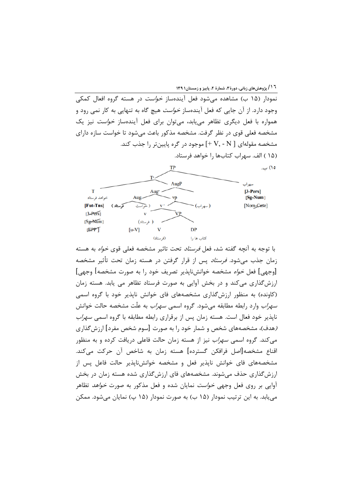۱ ۱ / پژوهش های زبانی، دورهٔ ۳، شمارهٔ ۲، پاییز و زمستان۱ ۱۳۹

نمودار (۱۵ ب) مشاهده می شود فعل آیندهساز *خواست* در هسته گروه افعال کمکی وجود دارد. از آن جایی که فعل آیندهساز *خواست* هیچ گاه به تنهایی به کار نمی رود و همواره با فعل دیگری تظاهر مییابد، میتوان برای فعل آیندهساز *خواست* نیز یک مشخصه فعلی قوی در نظر گرفت. مشخصه مذکور باعث می شود تا خواست سازه دارای مشخصه مقولهای [ V, - N +] موجود در گره پایینتر را جذب کند. (١۵ ) الف. سهراب كتابها را خواهد فرستاد.



با توجه به آنچه گفته شد، فعل *فرستاد* تحت تاثیر مشخصه فعلی قوی *خواه* به هسته زمان جذب میشود. *فرستاد* پس از قرار گرفتن در هسته زمان تحت تأثیر مشخصه [وجهي] فعل *خواه* مشخصه خوانشiاپذير تصريف خود را به صورت مشخصه] وجهي] ارزشگذاری میکند و در بخش آوایی به صورت فرستاد تظاهر می یابد. هسته زمان (کاونده) به منظور ارزش گذاری مشخصههای فای خوانش نایذیر خود با گروه اسمی *سهراب* وارد رابطه مطابقه می شود. گروه اسم*ی سهراب* به علّت مشخصه حالت خوانش ناپذیر خود فعال است. هسته زمان پس از برقراری رابطه مطابقه با گروه اسمی *سهراب* (هدف)، مشخصههای شخص و شمار خود را به صورت [سوم شخص مفرد] ارزش گذاری می کند. گروه اسمی *سهراب* نیز از هسته زمان حالت فاعلی دریافت کرده و به منظور اقناع مشخصه[اصل فرافكن گسترده] هسته زمان به شاخص آن حركت مى كند. مشخصههای فای خوانش ناپذیر فعل و مشخصه خوانشiاپذیر حالت فاعل پس از ارزش گذاری حذف می شوند. مشخصههای فای ارزش گذاری شده هسته زمان در بخش آوایی بر روی فعل وجهی *خواست* نمایان شده و فعل مذکور به صورت *خواهد* تظاهر می یابد. به این ترتیب نمودار (۱۵ ب) به صورت نمودار (۱۵ پ) نمایان می شود. ممکن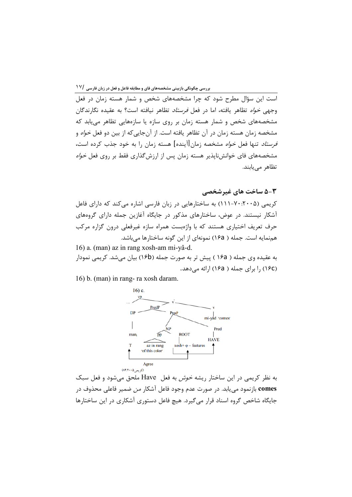وجهي خواه تظاهر يافته، اما در فعل *فرستاد* تظاهر نيافته است؟ به عقيده نگارندگان مشخصههای شخص و شمار هسته زمان بر روی سازه یا سازههایی تظاهر می یابد که مشخصه زمان هسته زمان در آن تظاهر یافته است. از آنجایی که از بین دو فعل *خواه* و *فرستاد* تنها فعل *خواه* مشخصه زمان[آینده] هسته زمان را به خود جذب کرده است، مشخصههای فای خوانشiاپذیر هسته زمان پس از ارزش گذاری فقط بر روی فعل *خواه* تظاهر مے پابند.

۳−۵ ساخت های غیرشخصی

کریمی (۲۰۰۵:۲۰۰-۱۱۱) به ساختارهایی در زبان فارسی اشاره می کند که دارای فاعل آشکار نیستند. در عوض، ساختارهای مذکور در جایگاه آغازین جمله دارای گروههای حرف تعریف اختیاری هستند که با واژهبست همراه سازه غیرفعلی درون گزاره مرکب همنمایه است. جمله ( ۱۶a) نمونهای از این گونه ساختارها میباشد.

16) a. (man) az in rang xosh-am mi-yâ-d. به عقیده وی جمله ( ۱۶a ) پیش تر به صورت جمله (۱۶b) بیان میشد. کریمی نمودار (١۶c) ,ا برای جمله ( ١۶a) اړائه می دهد.

16) b. (man) in rang- ra xosh daram.



به نظر کریمی در این ساختار ریشه *خوش* به فعل Have ملحق میشود و فعل سبک comes بازنمود می یابد. در صورت عدم وجود فاعل آشکار *من* ضمیر فاعلی محذوف در جایگاه شاخص گروه اسناد قرار می گیرد. هیچ فاعل دستوری آشکاری در این ساختارها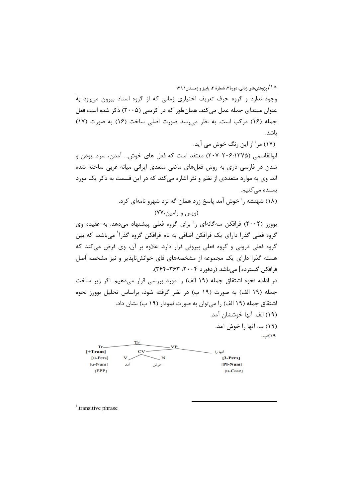۱۸ / پژوهش های زبانی، دورهٔ ۳، شمارهٔ ۲، پاییز و زمستان۱۳۹

وجود ندارد و گروه حرف تعریف اختیاری زمانی که از گروه اسناد بیرون می رود به عنوان مبتدای جمله عمل می کند. همانطور که در کریمی (۲۰۰۵) ذکر شده است فعل جمله (١۶) مرکب است. به نظر می رسد صورت اصلی ساخت (١۶) به صورت (١٧) ىاشد.

(۱۷) مرا از این رنگ خوش می آید. ابوالقاسمي (۲۰۶–۲۰۷–۲۰۷) معتقد است كه فعل هاى خوش… آمدن، سرد...بودن و شدن در فارسی دری به روش فعلهای ماضی متعدی ایرانی میانه غربی ساخته شده اند. وي به موارد متعددي از نظم و نثر اشاره مي كند كه در اين قسمت به ذكر يک مورد بسنده می کنیم. (۱۸) شهنشه را خوش آمد پاسخ زرد همان گه نزد شهرو نامهای کرد.

(ويس و رامين، ٧٧)

بوورز (۲۰۰۲) فرافکن سهگانهای را برای گروه فعلی پیشنهاد می دهد. به عقیده وی گروه فعلی گذرا دارای یک فرافکن اضافی به نام فرافکن گروه گذرا<sup>۱</sup> میباشد، که بین گروه فعلی درونی و گروه فعلی بیرونی قرار دارد. علاوه بر آن، وی فرض میکند که هسته گذرا دارای یک مجموعه از مشخصههای فای خوانشiاپذیر و نیز مشخصه[اصل فرافكن گسترده] مي باشد (ردفورد ۲۰۰۴: ۳۶۳-۳۶۴).

در ادامه نحوه اشتقاق جمله (۱۹ الف) را مورد بررسی قرار میدهیم. اگر زیر ساخت جمله (١٩ الف) به صورت (١٩ ب) در نظر گرفته شود، براساس تحليل بوورز نحوه اشتقاق جمله (١٩ الف) را مي توان به صورت نمودار (١٩ پ) نشان داد. (١٩) الف. آنها خوششان آمد.

(١٩) ب. آنها ,ا خوش آمد. ۱۹)پ.

|            |     | VР   |                       |
|------------|-----|------|-----------------------|
| $[+Trans]$ |     |      | أنها                  |
| $[u-Pers]$ | v   |      | $[3-Pers]$            |
| $[u-Num]$  | آمد | خوشر | $[$ <b>Pl-Num</b> $]$ |
| EPP        |     |      | $[u-Case]$            |

Tr'

<sup>1</sup>.transitive phrase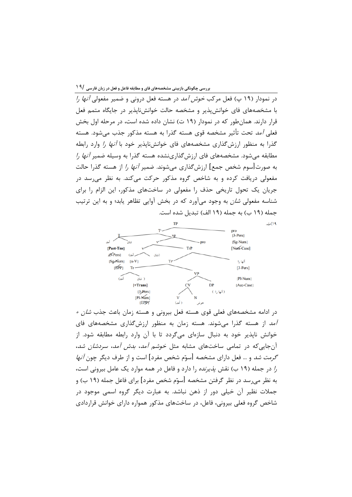د, نمودا, (١٩ پ) فعل مركب *خوش آمد* در هسته فعل دروني و ضمير مفعولي *آنها را* با مشخصههای فای خوانش پذیر و مشخصه حالت خوانش ناپذیر در جایگاه متمم فعل قرار دارند. همانطور که در نمودار (۱۹ ت) نشان داده شده است، در مرحله اول بخش فعلی آمد تحت تأثیر مشخصه قوی هسته گذرا به هسته مذکور جذب می شود. هسته گذرا به منظور ارزشگذاری مشخصههای فای خوانشiاپذیر خود با *آنها را* وارد رابطه مطابقه می شود. مشخصههای فای ارزش گذارینشده هسته گذرا به وسیله ضمیر *آنها را* به صورت[سوم شخص جمع] ارزش گذاری می شوند. ضمیر *آنها را* از هسته گذرا حالت مفعولي دريافت كرده و به شاخص گروه مذكور حركت مي كند. به نظر مي سد در جریان یک تحول تاریخی حذف را مفعولی در ساختهای مذکور، این الزام را برای شناسه مفعولی *شان* به وجود میآورد که در بخش آوایی تظاهر یابد؛ و به این ترتیب جمله (١٩ ب) به جمله (١٩ الف) تبديل شده است.



۱۹)ت.

در ادامه مشخصههای فعلی قوی هسته فعل بیرونی و هسته زمان باعث جذب *شان* + *آمد* از هسته گذرا میشوند. هسته زمان به منظور ارزشگذاری مشخصههای فای خوانش نایذیر خود به دنبال سازمای میگردد تا با آن وارد رابطه مطابقه شود. از آن جایی که در تمامی ساختهای مشابه مثل *خوشم آمد، بدش آمد، سردشان* ش*د*، *گرمت شد* و … فعل دارای مشخصه [سوّم شخص مفرد] است و از طرف دیگر چون *آنها* ر/ در جمله (۱۹ ب) نقش *پذیرنده* را دارد و فاعل در همه موارد یک عامل بیرونی است، به نظر می٫سد در نظر گرفتن مشخصه [سوّم شخص مفرد] برای فاعل جمله (۱۹ ب) و جملات نظیر آن خیلی دور از ذهن نباشد. به عبارت دیگر گروه اسمی موجود در شاخص گروه فعلی بیرونی، فاعل، در ساختهای مذکور همواره دارای خوانش قراردادی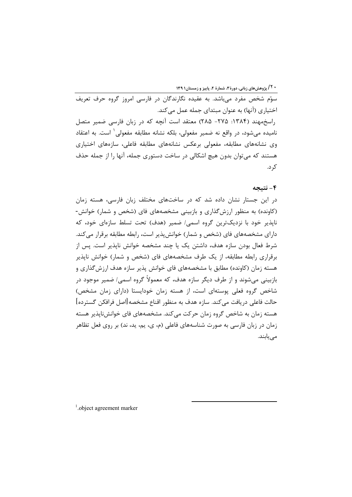**۰ <sup>۲</sup>/ پژوهشهای زبانی، دورهٔ ۳، شمارهٔ ۲، پاییز و زمستان۱۳۹** 

.<br>سوّم شخص مفرد مے باشد. به عقیده نگارندگان در فارسی امروز گروه حرف تعریف اختیاری (آنها) به عنوان مبتدای جمله عمل می کند. راسخمهند (۱۳۸۴: ۲۷۵- ۲۸۵) معتقد است آنچه که در زبان فارسی ضمیر متصل نامیده می شود، در واقع نه ضمیر مفعولی، بلکه نشانه مطابقه مفعولی یاست. به اعتقاد وی نشانههای مطابقه، مفعولی برعکس نشانههای مطابقه فاعلی، سازههای اختیاری هستند که می توان بدون هیچ اشکالی در ساخت دستوری جمله، آنها را از جمله حذف کر د.

#### ۴- نتيجه

در این جستار نشان داده شد که در ساختهای مختلف زبان فارسی، هسته زمان (کاونده) به منظور ارزش گذاری و بازبینی مشخصههای فای (شخص و شمار) خوانش-نايذير خود با نزديکترين گروه اسمي/ ضمير (هدف) تحت تسلط سازهاي خود، که دارای مشخصههای فای (شخص و شمار) خوانش پذیر است، رابطه مطابقه برقرار می کند. شرط فعال بودن سازه هدف، داشتن یک یا چند مشخصه خوانش ناپذیر است. پس از برقراری رابطه مطابقه، از یک طرف مشخصههای فای (شخص و شمار) خوانش نایذیر هسته زمان (کاونده) مطابق با مشخصههای فای خوانش پذیر سازه هدف ارزش گذاری و بازبینی میشوند و از طرف دیگر سازه هدف، که معمولاً گروه اسمی *ا* ضمیر موجود در شاخص گروه فعلی پوستهای است، از هسته زمان خودایستا (دارای زمان مشخص) حالت فاعلى دريافت مي كند. سازه هدف به منظور اقناع مشخصه[اصل فرافكن گسترده] هسته زمان به شاخص گروه زمان حرکت میکند. مشخصههای فای خوانش ناپذیر هسته زمان در زبان فارسی به صورت شناسههای فاعلی (م، ی، یم، ید، ند) بر روی فعل تظاهر مے یابند.

 $<sup>1</sup>$ .object agreement marker</sup>